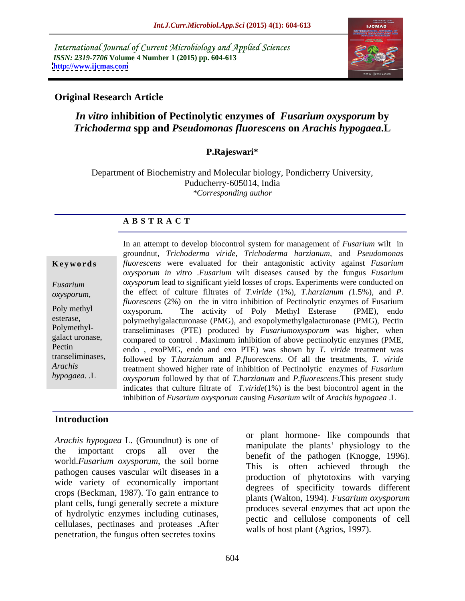International Journal of Current Microbiology and Applied Sciences *ISSN: 2319-7706* **Volume 4 Number 1 (2015) pp. 604-613 <http://www.ijcmas.com>**



## **Original Research Article**

# *In vitro* **inhibition of Pectinolytic enzymes of** *Fusarium oxysporum* **by**  *Trichoderma* **spp and** *Pseudomonas fluorescens* **on** *Arachis hypogaea***.L**

## **P.Rajeswari\***

Department of Biochemistry and Molecular biology, Pondicherry University, Puducherry-605014, India *\*Corresponding author*

### **A B S T R A C T**

*hypogaea*. .L

In an attempt to develop biocontrol system for management of *Fusarium* wilt in groundnut, *Trichoderma viride, Trichoderma harzianum,* and *Pseudomonas fluorescens* were evaluated for their antagonistic activity against *Fusarium oxysporum in vitro* .*Fusarium* wilt diseases caused by the fungus *Fusarium oxysporum* lead to significant yield losses of crops. Experiments were conducted on *Fusarium*  the effect of culture filtrates of *T.viride* (1%), *T.harzianum (*1.5%), and *P*. *fluorescens* (2%) on the in vitro inhibition of Pectinolytic enzymes of Fusarium oxysporum. The activity of Poly Methyl Esterase (PME), endo esterase,<br>
polymethylgalacturonase (PMG), and exopolymethylgalacturonase (PMG), Pectin<br>
Polymethyl-<br>
produced by *Fusariumoxysporum* was higher when transeliminases (PTE) produced by *Fusariumoxysporum* was higher, when galact uronase, compared to control . Maximum inhibition of above pectinolytic enzymes (PME, Pectin endo, exoPMG, endo and exo PTE) was shown by *T. viride* treatment was followed by *T.harzianum* and *P.fluorescens*. Of all the treatments, *T. viride* transeliminases, treatment showed higher rate of inhibition of Pectinolytic enzymes of *Fusarium Arachis oxysporum* followed by that of *T.harzianum* and *P.fluorescens*.This present study indicates that culture filtrate of *T.viride*(1%) is the best biocontrol agent in the inhibition of *Fusarium oxysporum* causing *Fusarium* wilt of *Arachis hypogaea* .L *oxysporum*, the effect of culture filtrates of *Iviride* (1%), *I.harzianum* (1.5%), and *P*.<br> *Poly methyl oxysporum* The activity of Poly Methyl Esterase (PME) endo

## **Introduction**

*Arachis hypogaea* L. (Groundnut) is one of the important crops all over the  $\frac{1}{2}$  hange the plants physiology to the world.*Fusarium oxysporum*, the soil borne pathogen causes vascular wilt diseases in a wide variety of economically important crops (Beckman, 1987). To gain entrance to plant cells, fungi generally secrete a mixture of hydrolytic enzymes including cutinases, cellulases, pectinases and proteases .After penetration, the fungus often secretes toxins

or plant hormone- like compounds that manipulate the plants' physiology to the benefit of the pathogen (Knogge, 1996). This is often achieved through the production of phytotoxins with varying degrees of specificity towards different plants (Walton, 1994). *Fusarium oxysporum* produces several enzymes that act upon the pectic and cellulose components of cell walls of host plant (Agrios, 1997).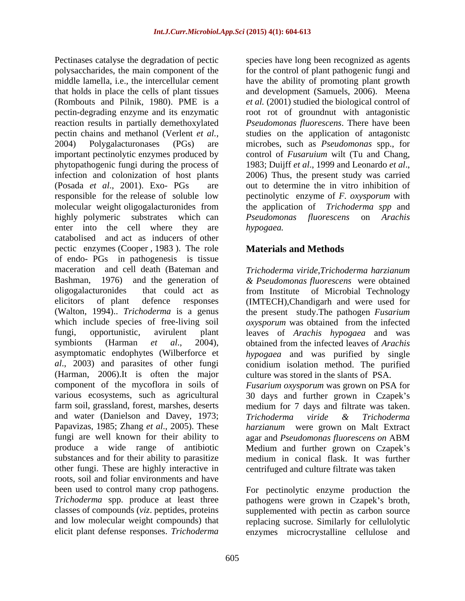polysaccharides, the main component of the for the control of plant pathogenic fungiand middle lamella, i.e., the intercellular cement have the ability of promoting plant growth that holds in place the cells of plant tissues and development (Samuels, 2006). Meena (Rombouts and Pilnik, 1980). PME is a *et al.* (2001) studied the biological control of pectin-degrading enzyme and its enzymatic root rot of groundnut with antagonistic reaction results in partially demethoxylated *Pseudomonas fluorescens*. There have been pectin chains and methanol (Verlent *et al.,* studies on the application of antagonistc 2004) Polygalacturonases (PGs) are microbes, such as *Pseudomonas* spp., for important pectinolytic enzymes produced by control of *Fusaruium* wilt (Tu and Chang, phytopathogenic fungi during the process of 1983; Duijff et al., 1999 and Leonardo et al., infection and colonization of host plants 2006) Thus, the present study was carried (Posada *et al*., 2001). Exo- PGs are out to determine the in vitro inhibition of responsible for the release of soluble low pectinolytic enzyme of *F. oxysporum* with molecular weight oligogalacturonides from highly polymeric substrates which can *Pseudomonas fluorescens* on *Arachis* enter into the cell where they are *hypogaea*. catabolised and act as inducers of other pectic enzymes (Cooper , 1983 ). The role of endo- PGs in pathogenesis is tissue maceration and cell death (Bateman and Trichoderma viride.Trichoderma harzianum Bashman, 1976) and the generation of *& Pseudomonas fluorescens* were obtained oligogalacturonides that could act as from Institute of Microbial Technology elicitors of plant defence responses (IMTECH),Chandigarh and were used for (Walton, 1994).. *Trichoderma* is a genus the present study.The pathogen *Fusarium*  which include species of free-living soil *oxysporum* was obtained from the infected fungi, opportunistic, avirulent plant leaves of *Arachis hypogaea* and was symbionts (Harman *et al*., 2004), obtained from the infected leaves of *Arachis*  asymptomatic endophytes (Wilberforce et *al*., 2003) and parasites of other fungi conidium isolation method. The purified (Harman, 2006).It is often the major component of the mycoflora in soils of component of the mycoflora in soils of *Fusarium oxysporum* was grown on PSA for various ecosystems, such as agricultural 30 days and further grown in Czapek's farm soil, grassland, forest, marshes, deserts medium for 7 days and filtrate was taken. and water (Danielson and Davey, 1973; Trichoderma viride & Trichoderma Papavizas, 1985; Zhang *et al*., 2005). These *harzianum* were grown on Malt Extract fungi are well known for their ability to agar and *Pseudomonas fluorescens on* ABM produce a wide range of antibiotic Medium and further grown on Czapek's substances and for their ability to parasitize medium in conical flask. It was further other fungi. These are highly interactive in centrifuged and culture filtrate was taken roots, soil and foliar environments and have been used to control many crop pathogens. For pectinolytic enzyme production the *Trichoderma* spp. produce at least three pathogens were grown in Czapek's broth, classes of compounds (*viz*. peptides, proteins supplemented with pectin as carbon source and low molecular weight compounds) that replacing sucrose. Similarly for cellulolytic

Pectinases catalyse the degradation of pectic species have long been recognized as agents 1983; Duijff *et al*., 1999 and Leonardo *et al*., 2006) Thus, the present study was carried the application of *Trichoderma spp* and *Pseudomonas fluorescens hypogaea.*

# **Materials and Methods**

*Trichoderma viride*,*Trichoderma harzianum hypogaea* and was purified by single culture was stored in the slants of PSA. *Trichoderma viride & Trichoderma* 

elicit plant defense responses. *Trichoderma* enzymes microcrystalline cellulose and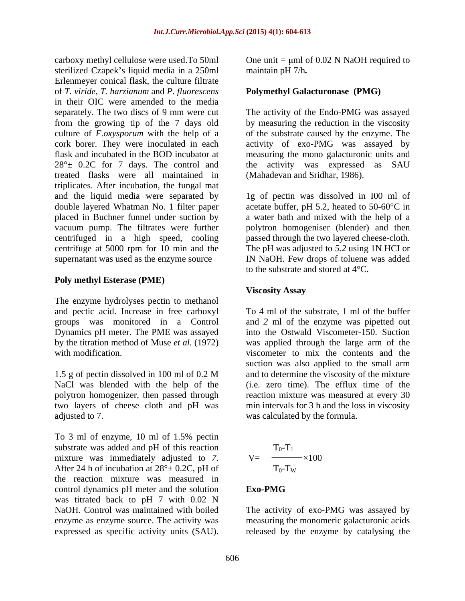carboxy methyl cellulose were used. To 50ml One unit =  $\mu$ ml of 0.02 N NaOH required to sterilized Czapek's liquid media in a 250ml Erlenmeyer conical flask, the culture filtrate of *T. viride, T. harzianum* and *P*. *fluorescens* in their OIC were amended to the media separately. The two discs of 9 mm were cut The activity of the Endo-PMG was assayed from the growing tip of the 7 days old by measuring the reduction in the viscosity culture of *F*.*oxysporum* with the help of a of the substrate caused by the enzyme. The cork borer. They were inoculated in each activity of exo-PMG was assayed by flask and incubated in the BOD incubator at measuring the mono galacturonic units and  $28^\circ \pm 0.2C$  for 7 days. The control and the activity was expressed as SAU treated flasks were all maintained in triplicates. After incubation, the fungal mat and the liquid media were separated by 1g of pectin was dissolved in I00 ml of double layered Whatman No. 1 filter paper acetate buffer, pH 5.2, heated to 50-60°C in placed in Buchner funnel under suction by a water bath and mixed with the help of a vacuum pump. The filtrates were further polytron homogeniser (blender) and then centrifuged in a high speed, cooling passed through the two layered cheese-cloth. centrifuge at 5000 rpm for 10 min and the The pH was adjusted to *5.2* using 1N HCI or supernatant was used as the enzyme source IN NaOH. Few drops of toluene was added expressed as specific specific of the collinear specific activity were considered as the collect policine of the collect activity unit and the collect activity of the collect activity of the collect activity of the collec

### **Poly methyl Esterase (PME)**

The enzyme hydrolyses pectin to methanol and pectic acid. Increase in free carboxyl

polytron homogenizer, then passed through adjusted to 7. was calculated by the formula.

To 3 ml of enzyme, 10 ml of 1.5% pectin substrate was added and pH of this reaction mixture was immediately adjusted to *7.*  After 24 h of incubation at  $28^\circ \pm 0.2C$ , pH of the reaction mixture was measured in control dynamics pH meter and the solution Exo-PMG was titrated back to pH 7 with 0.02 N NaOH. Control was maintained with boiled The activity of exo-PMG was assayed by enzyme as enzyme source. The activity was measuring the monomeric galacturonic acids

maintain pH 7/h*.*

### **Polymethyl Galacturonase (PMG)**

the activity was expressed as SAU (Mahadevan and Sridhar, 1986).

to the substrate and stored at 4°C.

### **Viscosity Assay**

groups was monitored in a Control and *2* ml of the enzyme was pipetted out Dynamics pH meter. The PME was assayed into the Ostwald Viscometer-150. Suction by the titration method of Muse *et al.* (1972) was applied through the large arm of the with modification. The viscometer to mix the contents and the 1.5 g of pectin dissolved in 100 ml of 0.2 M and to determine the viscosity of the mixture NaCl was blended with the help of the (i.e. zero time). The efflux time of the two layers of cheese cloth and pH was min intervals for 3 h and the loss in viscosity To 4 ml of the substrate, 1 ml of the buffer suction was also applied to the small arm and to determine the viscosity of the mixture reaction mixture was measured at every 30

$$
V = \frac{T_0 - T_1}{T_0 - T_W} \times 100
$$

### **Exo-PMG**

released by the enzyme by catalysing the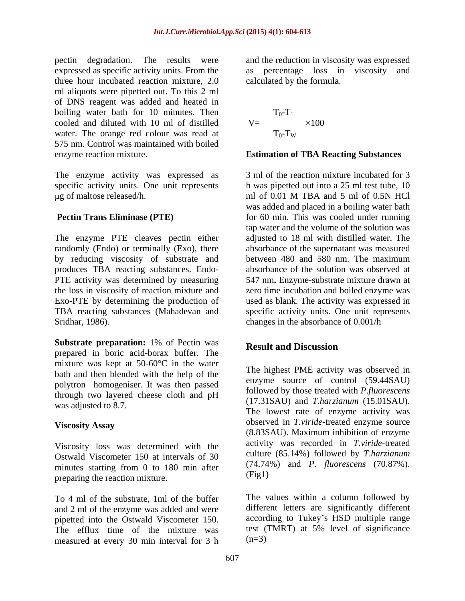pectin degradation. The results were three hour incubated reaction mixture, 2.0 ml aliquots were pipetted out. To this 2 ml of DNS reagent was added and heated in boiling water bath for 10 minutes. Then cooled and diluted with 10 ml of distilled water. The orange red colour was read at 575 nm. Control was maintained with boiled enzyme reaction mixture. **Estimation of TBA Reacting Substances**

The enzyme activity was expressed as  $\mu$ g of maltose released/h.  $\mu$  ml of 0.01 M TBA and 5 ml of 0.5N HCl

The enzyme PTE cleaves pectin either randomly (Endo) or terminally (Exo), there by reducing viscosity of substrate and between 480 and 580 nm. The maximum produces TBA reacting substances. Endo-<br>PTE activity was determined by measuring Exo-PTE by determining the production of Sridhar, 1986). changes in the absorbance of 0.001/h

**Substrate preparation:** 1% of Pectin was **Result and Discussion** prepared in boric acid-borax buffer. The mixture was kept at 50-60°C in the water bath and then blended with the help of the polytron homogeniser. It was then passed through two layered cheese cloth and pH

Viscosity loss was determined with the Ostwald Viscometer 150 at intervals of 30 minutes starting from 0 to 180 min after  $(74.74)$ <br>means the reaction mixture (Fig1) preparing the reaction mixture.

To 4 ml of the substrate, 1ml of the buffer and 2 ml of the enzyme was added and were pipetted into the Ostwald Viscometer 150. The efflux time of the mixture was measured at every 30 min interval for 3 h

expressed as specific activity units. From the as percentage loss in viscosity and and the reduction in viscosity was expressed calculated by the formula.

$$
V = \frac{T_0 - T_1}{T_0 - T_W} \times 100
$$

specific activity units. One unit represents h was pipetted out into a 25 ml test tube, 10 **Pectin Trans Eliminase (PTE)** for 60 min. This was cooled under running PTE activity was determined by measuring 547 nm**.** Enzyme-substrate mixture drawn at the loss in viscosity of reaction mixture and zero time incubation and boiled enzyme was TBA reacting substances (Mahadevan and specific activity units. One unit represents 3 ml of the reaction mixture incubated for 3 ml of 0.01 M TBA and 5 ml of 0.5N HCl was added and placed in a boiling water bath tap water and the volume of the solution was adjusted to 18 ml with distilled water. The absorbance of the supernatant was measured between 480 and 580 nm. The maximum absorbance of the solution was observed at used as blank. The activity was expressed in

# **Result and Discussion**

was adjusted to 8.7. Viscosity Assay **Superversion** observed in *Lytriae*-treated enzyme source The highest PME activity was observed in enzyme source of control (59.44SAU) followed by those treated with *P*.*fluorescens* (17.31SAU) and *T*.*harzianum* (15.01SAU). The lowest rate of enzyme activity was observed in *T.viride*-treated enzyme source (8.83SAU). Maximum inhibition of enzyme activity was recorded in *T.viride*-treated culture (85.14%) followed by *T*.*harzianum* (74.74%) and *P*. *fluorescens* (70.87%). (Fig1)

> The values within a column followed by different letters are significantly different according to Tukey's HSD multiple range test (TMRT) at 5% level of significance  $(n=3)$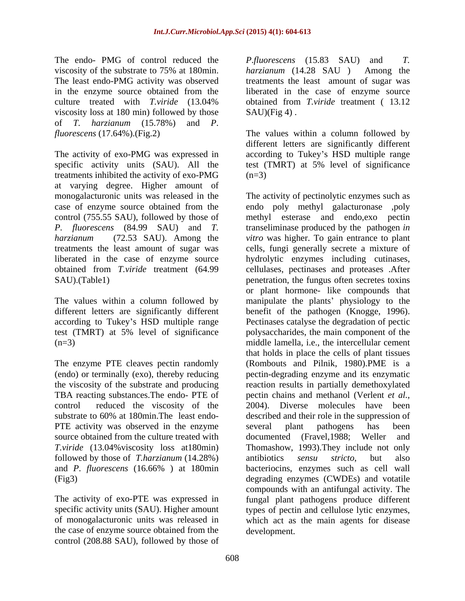The least endo-PMG activity was observed viscosity loss at 180 min) followed by those of *T. harzianum* (15.78%) and *P*.

The activity of exo-PMG was expressed in according to Tukey's HSD multiple range specific activity units (SAU). All the test (TMRT) at 5% level of significance treatments inhibited the activity of exo-PMG at varying degree. Higher amount of monogalacturonic units was released in the The activity of pectinolytic enzymes such as

test (TMRT) at 5% level of significance

PTE activity was observed in the enzyme several plant pathogens has been source obtained from the culture treated with documented (Fravel, 1988; Weller and followed by those of *T.harzianum* (14.28%)

the case of enzyme source obtained from the control (208.88 SAU), followed by those of

The endo- PMG of control reduced the *P*.*fluorescens* (15.83 SAU) and *T.*  viscosity of the substrate to 75% at 180min. *harzianum* (14.28 SAU) Among the in the enzyme source obtained from the liberated in the case of enzyme source culture treated with *T.viride* (13.04% *harzianum* (14.28 SAU ) Among the treatments the least amount of sugar was obtained from *T.viride* treatment ( 13.12  $SAU$ )(Fig 4).

*fluorescens* (17.64%).(Fig.2) The values within a column followed by different letters are significantly different  $(n=3)$ 

case of enzyme source obtained from the endo poly methyl galacturonase ,poly control (755.55 SAU), followed by those of methyl esterase and endo,exo pectin *P. fluorescens* (84.99 SAU) and *T.*  transeliminase produced by the pathogen *in harzianum* (72.53 SAU). Among the *vitro* was higher. To gain entrance to plant treatments the least amount of sugar was cells, fungi generally secrete a mixture of liberated in the case of enzyme source hydrolytic enzymes including cutinases, obtained from *T.viride* treatment (64.99 cellulases, pectinases and proteases .After SAU).(Table1) penetration, the fungus often secretes toxins The values within a column followed by manipulate the plants' physiology to the different letters are significantly different benefit of the pathogen (Knogge, 1996). according to Tukey's HSD multiple range Pectinases catalyse the degradation of pectic (n=3) middle lamella, i.e., the intercellular cement The enzyme PTE cleaves pectin randomly (Rombouts and Pilnik, 1980).PME is a (endo) or terminally (exo), thereby reducing pectin-degrading enzyme and its enzymatic the viscosity of the substrate and producing reaction results in partially demethoxylated TBA reacting substances.The endo- PTE of pectin chains and methanol (Verlent *et al.,* control reduced the viscosity of the 2004). Diverse molecules have been substrate to 60% at 180min.The least endo- described and their role in the suppression of *T.viride* (13.04%viscosity loss at180min) Thomashow, 1993).They include not only and *P*. *fluorescens* (16.66% ) at 180min (Fig3) degrading enzymes (CWDEs) and votatile The activity of exo-PTE was expressed in fungal plant pathogens produce different specific activity units (SAU). Higher amount types of pectin and cellulose lytic enzymes, of monogalacturonic units was released in which act as the main agents for disease or plant hormone- like compounds that polysaccharides, the main component of the that holds in place the cells of plant tissues several plant pathogens has been documented (Fravel,1988; Weller and antibiotics *sensu stricto*, but also bacteriocins, enzymes such as cell wall compounds with an antifungal activity. The development.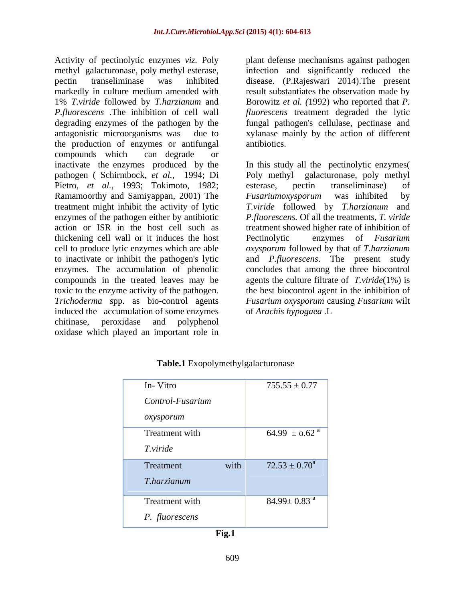Activity of pectinolytic enzymes *viz.* Poly plant defense mechanisms against pathogen methyl galacturonase, poly methyl esterase, infection and significantly reduced the pectin transeliminase was inhibited disease. (P.Rajeswari 2014).The present markedly in culture medium amended with result substantiates the observation made by 1% *T.viride* followed by *T.harzianum* and Borowitz *et al. (*1992) who reported that *P. P.fluorescens* .The inhibition of cell wall *fluorescens* treatment degraded the lytic degrading enzymes of the pathogen by the fungal pathogen's cellulase, pectinase and antagonistic microorganisms was due to xylanase mainly by the action of different the production of enzymes or antifungal compounds which can degrade or Pietro, *et al.*, 1993; Tokimoto, 1982; esterase, pectin transeliminase) of Ramamoorthy and Samiyappan, 2001) The *Fusariumoxysporum* was inhibited by treatment might inhibit the activity of lytic thickening cell wall or it induces the host induced the accumulation of some enzymes of Arachis hypogaea .L chitinase, peroxidase and polyphenol oxidase which played an important role in

antibiotics.

inactivate the enzymes produced by the In this study all the pectinolytic enzymes( pathogen ( Schirmbock, *et al.,* 1994; Di Poly methyl galacturonase, poly methyl enzymes of the pathogen either by antibiotic *P.fluorescens.* Of all the treatments, *T. viride*  action or ISR in the host cell such as treatment showed higher rate of inhibition of cell to produce lytic enzymes which are able *oxysporum* followed by that of *T.harzianum*  to inactivate or inhibit the pathogen's lytic and *P.fluorescens*. The present study enzymes. The accumulation of phenolic concludes that among the three biocontrol compounds in the treated leaves may be agents the culture filtrate of *T.viride*(1%) is toxic to the enzyme activity of the pathogen. the best biocontrol agent in the inhibition of *Trichoderma* spp. as bio-control agents *Fusarium oxysporum* causing *Fusarium* wilt esterase, pectin transeliminase) of *Fusariumoxysporum* was inhibited by *T.viride* followed by *T.harzianum* and enzymes of *Fusarium* of *Arachis hypogaea* .L

| In-Vitro         |      | $755.55 \pm 0.77$             |
|------------------|------|-------------------------------|
| Control-Fusarium |      |                               |
| oxysporum        |      |                               |
| Treatment with   |      | 64.99 $\pm$ 0.62 <sup>a</sup> |
| T.viride         |      |                               |
| Treatment        | with | $72.53 \pm 0.70^a$            |
| T.harzianum      |      |                               |
| Treatment with   |      | $84.99 \pm 0.83$ <sup>a</sup> |
|                  |      |                               |
| P. fluorescens   |      |                               |

## **Table.1** Exopolymethylgalacturonase

**Fig.1**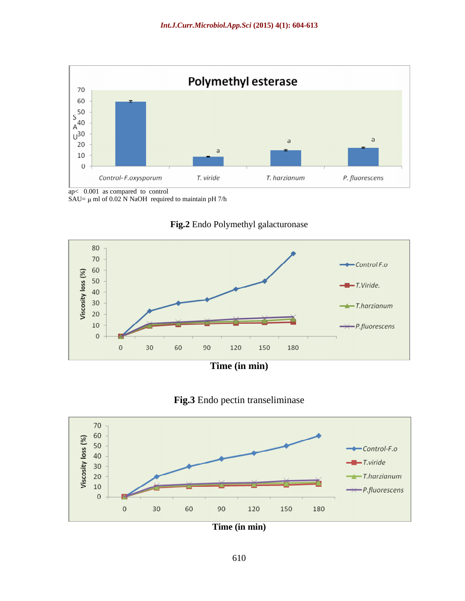

SAU=  $\mu$  ml of 0.02 N NaOH required to maintain pH 7/h





# **Fig.3** Endo pectin transeliminase



**Time (in min)**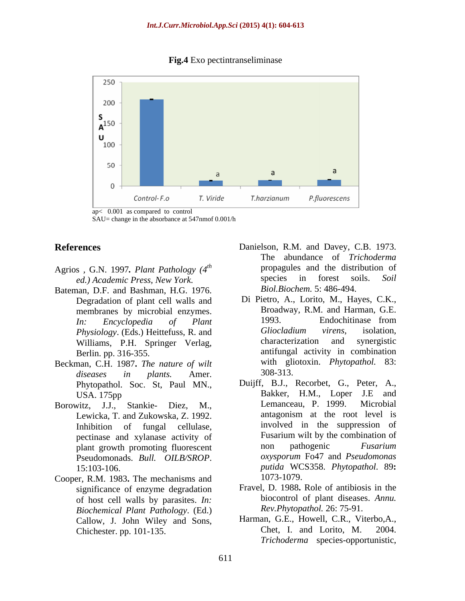**Fig.4** Exo pectintranseliminase



ap< 0.001 as compared to control SAU= change in the absorbance at 547nmof 0.001/h

- Agrios *, G.N. 1997. Plant Pathology*  $(4^{th}$  propagules and the distributional *ed Academic Press New York* species in forest soils.
- Bateman, D.F. and Bashman, H.G. 1976. Degradation of plant cell walls and
- Beckman, C.H. 1987. *The nature of wilt* with gli *diseases in plants* Amer 308-313. *diseases in plants.* Amer. Phytopathol. Soc. St, Paul MN.,
- plant growth promoting fluorescent
- Cooper, R.M. 1983**.** The mechanisms and significance of enzyme degradation of host cell walls by parasites. *In: Biochemical Plant Pathology*.(Ed.) Chichester. pp. 101-135.
- **References** Danielson, R.M. and Davey, C.B. 1973. propagules and the distribution of *ed.) Academic Press, New York.* The abundance of *Trichoderma* propagules and the distribution of species in forest soils. *Soil Biol.Biochem.* 5: 486-494.
	- membranes by microbial enzymes. Broadway, R.M. and Harman, G.E.<br>
	In: Freyclopedia of Plant 1993. Endochitinase from *In: Encyclopedia of Plant Physiology*. (Eds.) Heittefuss, R. and *Gliocladium virens*, isolation, Williams P H Springer Verlag characterization and synergistic Williams, P.H. Springer Verlag, characterization and synergistic Berlin. pp. 316-355. antifungal activity in combination Di Pietro, A., Lorito, M., Hayes, C.K., Broadway, R.M. and Harman, G.E. 1993. Endochitinase from *Gliocladium virens*, isolation, characterization and synergistic with gliotoxin. *Phytopathol.* 83: 308-313.
- USA. 175pp Bakker, H.M., Loper J.E and Borowitz, J.J., Stankie- Diez, M., Lemanceau, P. 1999. Microbial Lewicka, T. and Zukowska, Z. 1992. **antagonism** at the root level is Inhibition of fungal cellulase, involved in the suppression of nectinase and xylanase activity of Fusarium wilt by the combination of pectinase and xylanase activity of Fusarium wilt by the combination of<br>plant growth promoting fluorescent non pathogenic Fusarium Pseudomonads. *Bull. OILB/SROP*. 15:103-106. *putida* WCS358. *Phytopathol*. 89**:** Duijff, B.J., Recorbet, G., Peter, A., Lemanceau, P. 1999. Microbial antagonism at the root level is involved in the suppression of Fusarium wilt by the combination of non pathogenic *Fusarium oxysporum* Fo47 and *Pseudomonas*  1073-1079.
	- Fravel, D. 1988**.** Role of antibiosis in the biocontrol of plant diseases. *Annu. Rev.Phytopathol.* 26: 75-91.
	- Callow, J. John Wiley and Sons, Harman, G.E., Howell, C.R., Viterbo, A., Chichester pp. 101-135 Harman, G.E., Howell, C.R., Viterbo,A., Chet, I. and Lorito, M. *Trichoderma* species-opportunistic,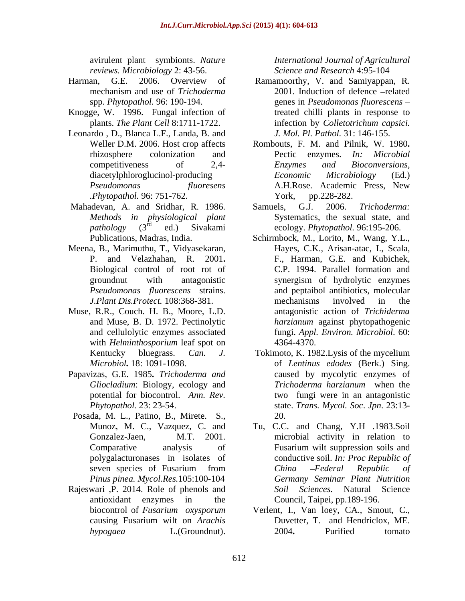*reviews. Microbiology* 2: 43-56.

- 
- Knogge, W. 1996. Fungal infection of
- Leonardo , D., Blanca L.F., Landa, B. and *.Phytopathol.* 96: 751-762.
- 
- Meena, B., Marimuthu, T., Vidyasekaran, Biological control of root rot of
- Muse, R.R., Couch. H. B., Moore, L.D. with *Helminthosporium* leaf spot on 4364-4370.
- Papavizas, G.E. 1985**.** *Trichoderma and* potential for biocontrol. *Ann. Rev.*
- Posada, M. L., Patino, B., Mirete. S., *Pinus pinea. Mycol.Res.*105:100-104
- Rajeswari ,P. 2014. Role of phenols and

avirulent plant symbionts. *Nature International Journal of Agricultural Science and Research* 4:95-104

- Harman, G.E. 2006. Overview of Ramamoorthy, V. and Samiyappan, R. mechanism and use of *Trichoderma* spp. *Phytopathol.* 96: 190-194. genes in *Pseudomonas fluorescens* plants. *The Plant Cell* 8:1711-1722. *infection by Colletotrichum capsici.* 2001. Induction of defence -related treated chilli plants in response to infection by *Colletotrichum capsici. J. Mol. Pl. Pathol.* 31: 146-155.
	- Weller D.M. 2006. Host crop affects Rombouts, F. M. and Pilnik, W. 1980**.** rhizosphere colonization and Pectic enzymes. In: Microbial competitiveness of 2,4- Enzymes and Bioconversions, diacetylphloroglucinol-producing *Economic Microbiology* (Ed.) *Pseudomonas fluoresens* Pectic enzymes. *In: Microbial Enzymes and Bioconversions, Economic Microbiology* (Ed.) A.H.Rose. Academic Press, New York, pp.228-282.
- Mahadevan, A. and Sridhar, R. 1986. Samuels, G.J. 2006. Trichoderma: *Methods in physiological plant* Systematics, the sexual state, and pathology (3<sup>rd</sup> ed.) Sivakami ecology. *Phytopathol*. 96:195-206. Samuels, G.J. 2006. *Trichoderma:*
	- Publications, Madras, India. Schirmbock, M., Lorito, M., Wang, Y.L., P. and Velazhahan, R. 2001**.** F., Harman, G.E. and Kubichek, groundnut with antagonistic *Pseudomonas fluorescens* strains. and peptaibol antibiotics, molecular *J.Plant Dis.Protect.* 108:368-381. and Muse, B. D. 1972. Pectinolytic *harzianum* against phytopathogenic and cellulolytic enzymes associated fungi. *Appl. Environ. Microbiol*. 60: Hayes, C.K., Arisan-atac, I., Scala, C.P. 1994. Parallel formation and synergism of hydrolytic enzymes mechanisms involved in the antagonistic action of *Trichiderma*  4364-4370.
	- Kentucky bluegrass. *Can. J.* Tokimoto, K. 1982.Lysis of the mycelium *Microbiol.* 18: 1091-1098. of *Lentinus edodes* (Berk.) Sing. *Gliocladium*: Biology, ecology and *Trichoderma hargianum* when the *Phytopathol.* 23: 23-54. state. *Trans. Mycol. Soc*. *Jpn*. 23:13 caused by mycolytic enzymes of *Trichoderma harzianum* when the two fungi were in an antagonistic 20.
	- Munoz, M. C., Vazquez, C. and Tu, C.C. and Chang, Y.H .1983.Soil Gonzalez-Jaen, M.T. 2001. microbial activity in relation to Comparative analysis of Fusarium wilt suppression soils and polygalacturonases in isolates of conductive soil. *In: Proc Republic of* seven species of Fusarium from China – Federal Republic of antioxidant enzymes in the Council, Taipei, pp.189-196. Fusarium wilt suppression soils and *China Federal Republic of Germany Seminar Plant Nutrition Soil Sciences.* Natural Science
	- biocontrol of *Fusarium oxysporum* Verlent, I., Van loey, CA., Smout, C., causing Fusarium wilt on *Arachis hypogaea* L.(Groundnut). Duvetter, T. and Hendriclox, ME. 2004**.** Purified tomato